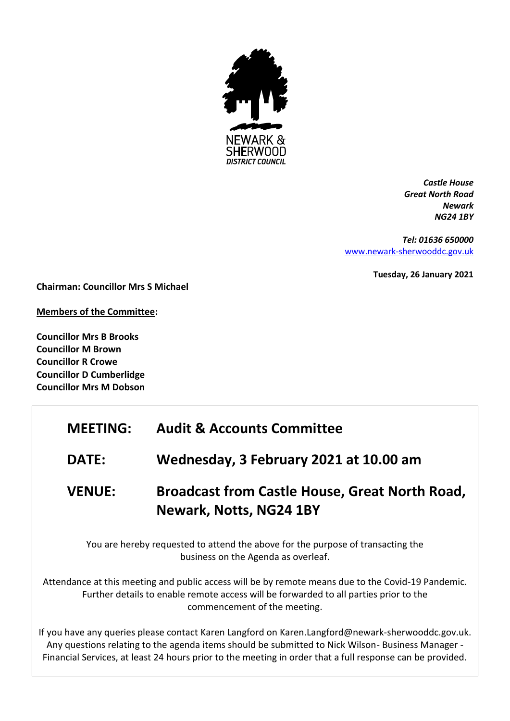

*Castle House Great North Road Newark NG24 1BY*

*Tel: 01636 650000* [www.newark-sherwooddc.gov.uk](http://www.newark-sherwooddc.gov.uk/)

**Tuesday, 26 January 2021**

**Chairman: Councillor Mrs S Michael**

**Members of the Committee:**

**Councillor Mrs B Brooks Councillor M Brown Councillor R Crowe Councillor D Cumberlidge Councillor Mrs M Dobson**

| <b>MEETING:</b>                                                                                                        | <b>Audit &amp; Accounts Committee</b>                                                                                                                                                                                                                                                                              |
|------------------------------------------------------------------------------------------------------------------------|--------------------------------------------------------------------------------------------------------------------------------------------------------------------------------------------------------------------------------------------------------------------------------------------------------------------|
| <b>DATE:</b>                                                                                                           | Wednesday, 3 February 2021 at 10.00 am                                                                                                                                                                                                                                                                             |
| <b>VENUE:</b>                                                                                                          | <b>Broadcast from Castle House, Great North Road,</b><br>Newark, Notts, NG24 1BY                                                                                                                                                                                                                                   |
| You are hereby requested to attend the above for the purpose of transacting the<br>business on the Agenda as overleaf. |                                                                                                                                                                                                                                                                                                                    |
|                                                                                                                        | Attendance at this meeting and public access will be by remote means due to the Covid-19 Pandemic.<br>Further details to enable remote access will be forwarded to all parties prior to the<br>commencement of the meeting.                                                                                        |
|                                                                                                                        | If you have any queries please contact Karen Langford on Karen.Langford@newark-sherwooddc.gov.uk.<br>Any questions relating to the agenda items should be submitted to Nick Wilson-Business Manager -<br>Financial Services, at least 24 hours prior to the meeting in order that a full response can be provided. |